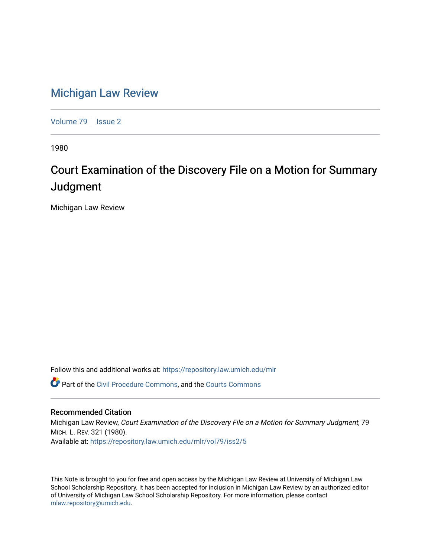## [Michigan Law Review](https://repository.law.umich.edu/mlr)

[Volume 79](https://repository.law.umich.edu/mlr/vol79) | [Issue 2](https://repository.law.umich.edu/mlr/vol79/iss2)

1980

# Court Examination of the Discovery File on a Motion for Summary **Judgment**

Michigan Law Review

Follow this and additional works at: [https://repository.law.umich.edu/mlr](https://repository.law.umich.edu/mlr?utm_source=repository.law.umich.edu%2Fmlr%2Fvol79%2Fiss2%2F5&utm_medium=PDF&utm_campaign=PDFCoverPages) 

Part of the [Civil Procedure Commons,](http://network.bepress.com/hgg/discipline/584?utm_source=repository.law.umich.edu%2Fmlr%2Fvol79%2Fiss2%2F5&utm_medium=PDF&utm_campaign=PDFCoverPages) and the [Courts Commons](http://network.bepress.com/hgg/discipline/839?utm_source=repository.law.umich.edu%2Fmlr%2Fvol79%2Fiss2%2F5&utm_medium=PDF&utm_campaign=PDFCoverPages) 

#### Recommended Citation

Michigan Law Review, Court Examination of the Discovery File on a Motion for Summary Judgment, 79 MICH. L. REV. 321 (1980). Available at: [https://repository.law.umich.edu/mlr/vol79/iss2/5](https://repository.law.umich.edu/mlr/vol79/iss2/5?utm_source=repository.law.umich.edu%2Fmlr%2Fvol79%2Fiss2%2F5&utm_medium=PDF&utm_campaign=PDFCoverPages)

This Note is brought to you for free and open access by the Michigan Law Review at University of Michigan Law School Scholarship Repository. It has been accepted for inclusion in Michigan Law Review by an authorized editor of University of Michigan Law School Scholarship Repository. For more information, please contact [mlaw.repository@umich.edu.](mailto:mlaw.repository@umich.edu)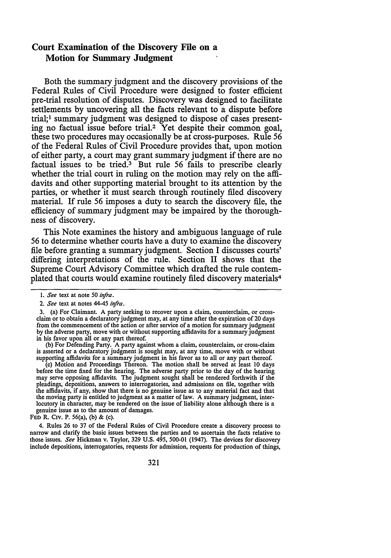### **Court Examination of the Discovery File on a Motion for Summary Judgment**

Both the summary judgment and the discovery provisions of the Federal Rules of Civil Procedure were designed to foster efficient pre-trial resolution of disputes. Discovery was designed to facilitate settlements by uncovering all the facts relevant to a dispute before trial;<sup>1</sup> summary judgment was designed to dispose of cases presenting no factual issue before trial.<sup>2</sup> Yet despite their common goal, these two procedures may occasionally be at cross-purposes. Rule 56 of the Federal Rules of Civil Procedure provides that, upon motion of either party, a court may grant summary judgment if there are no factual issues to be tried.<sup>3</sup> But rule 56 fails to prescribe clearly whether the trial court in ruling on the motion may rely on the affidavits and other supporting material brought to its attention by the parties, or whether it must search through routinely filed discovery material. If rule 56 imposes a duty to search the discovery file, the efficiency of summary judgment may be impaired by the thoroughness of discovery.

This Note examines the history and ambiguous language of rule 56 to determine whether courts have a duty to examine the discovery file before granting a summary judgment. Section I discusses courts' differing interpretations of the rule. Section II shows that the Supreme Court Advisory Committee which drafted the rule contemplated that courts would examine routinely filed discovery materials<sup>4</sup>

(b) For Defending Party. A party against whom a claim, counterclaim, or cross-claim is asserted or a declaratory judgment is sought may, at any time, move with or without supporting affidavits for a summary judgment in his favor as to all or any part thereof.<br>(c) Motion and Proceedings Thereon. The motion shall be served at least 10 days

before the time fixed for the hearing. The adverse party prior to the day of the hearing may serve opposing affidavits. The judgment sought shall be rendered forthwith if the pleadings, depositions, answers to interrogatories, and admissions on file, together with the affidavits, if any, show that there is no genuine issue as to any material fact and that<br>the moving party is entitled to judgment as a matter of law. A summary judgment, interlocutory in character, may be rendered on the issue of liability alone although there is a genuine issue as to the amount of damages.

FED R. CIV. P. 56(a), (b) & (c).

4. Rules 26 to 37 of the Federal Rules of Civil Procedure create a discovery process to narrow and clarify the basic issues between the parties and to ascertain the facts relative to those issues. *See* Hickman v. Taylor, 329 U.S. 495, 500-01 (1947). The devices for discovery include depositions, interrogatories, requests for admission, requests for production of things,

<sup>1.</sup> See text at note 50 *infra*.

<sup>2.</sup> *See* text at notes 44-45 *infra*.

<sup>3. (</sup>a) For Claimant. A party seeking to recover upon a claim, counterclaim, or crossclaim or to obtain a declaratory judgment may, at any time after the expiration of 20 days from the commencement of the action or after service of a motion for summary judgment by the adverse party, move with or without supporting affidavits for a summary judgment in his favor upon all or any part thereof.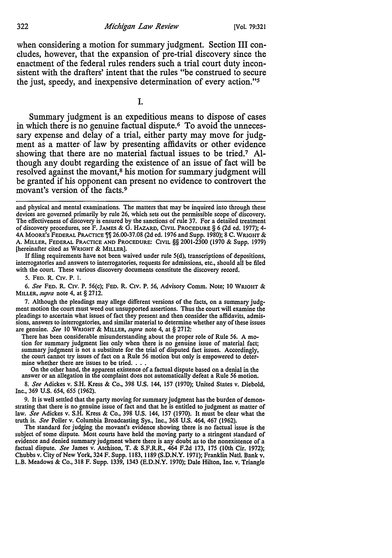when considering a motion for summary judgment. Section III concludes, however, that the expansion of pre-trial discovery since the enactment of the federal rules renders such a trial court duty inconsistent with the drafters' intent that the rules "be construed to secure the just, speedy, and inexpensive determination of every action."<sup>5</sup>

I.

Summary judgment is an expeditious means to dispose of cases in which there is no genuine factual dispute.6 To avoid the unnecessary expense and delay of a trial, either party may move for judgment as a matter of law by presenting affidavits or other evidence showing that there are no material factual issues to be tried.7 Although any doubt regarding the existence of an issue of fact will be resolved against the movant,<sup>8</sup> his motion for summary judgment will be granted if his opponent can present no evidence to controvert the movant's version of the facts. <sup>9</sup>

If filing requirements have not been waived under rule 5(d), transcriptions of depositions, interrogatories and answers to interrogatories, requests for admissions, etc., should all be filed with the court. These various discovery documents constitute the discovery record.

*5.* FED. R. C1v. P. l.

6. *See* FED. R. C1v. P. 56(c); FED. R. C1v. P. 56, Advisory Comm. Note; 10 WRIGHT & MILLER, *supra* note 4, at § 2712.

7. Although the pleadings may allege different versions of the facts, on a summary judg• ment motion the court must weed out unsupported assertions. Thus the court will examine the pleadings to ascertain what issues of fact they present and then consider the affidavits, admissions, answers to interrogatories, and similar material to determine whether any of these issues are genuine. *See* 10 WRIGHT & MILLER, *supra* note 4, at§ 2712:

There has been considerable misunderstanding about the proper role of Rule 56. A mo• tion for summary judgment lies only when there is no genuine issue of material fact; summary judgment is not a substitute for the trial of disputed fact issues. Accordingly, the court cannot try issues of fact on a Rule *56* motion but only is empowered to deter-

mine whether there are issues to be tried. . . .<br>On the other hand, the apparent existence of a factual dispute based on a denial in the answer or an allegation in the complaint does not automatically defeat a Rule 56 motion.

8. *See* Adickes v. S.H. Kress & Co., 398 U.S. 144, 157 (1970); United States v. Diebold, Inc., 369 U.S. 654, *655* (1962).

9. It is well settled that the party moving for summary judgment has the burden of demonstrating that there is no genuine issue of fact and that he is entitled to judgment as matter of law. *See* Adickes v. S.H. Kress & Co., 398 U.S. 144, 157 (1970). It must be clear what the truth is. *See* Poller v. Columbia Broadcasting Sys., Inc., 368 U.S. 464, 467 (1962).

The standard for judging the movant's evidence showing there is no factual issue is the subject of some dispute. Most courts have held the moving party to a stringent standard of evidence and denied summary judgment where there is any doubt as to the nonexistence of a factual dispute. *See* James v. Atchison, T. & S.F.R.R., 464 F.2d 173, 175 (10th Cir. 1972); Chubbs v. City of New York, 324 F. Supp. I 183, 1189 (S.D.N.Y. 1971); Franklin Natl. Bank v. L.B. Meadows & Co., 318 F. Supp. 1339, 1343 (E.D.N.Y. 1970); Dale Hilton, Inc. v. Triangle

and physical and mental examinations. The matters that may be inquired into through these devices are governed primarily by rule 26, which sets out the permissible scope of discovery. The effectiveness of discovery is ensured by the sanctions of rule 37. For a detailed treatment of discovery procedures, see F. JAMES & G. HAZARD, CIVIL PROCEDURE§ 6 (2d ed. 1977); 4- 4A MOORE'S FEDERAL PRACTICE  $\frac{m}{2}$  26.00-37.08 (2d ed. 1976 and Supp. 1980); 8 C. WRIGHT & A. MILLER, FEDERAL PRACTICE AND PROCEDURE: CIVIL§§ 2001-2300 (1970 & Supp. 1979) [hereinafter cited as WRIGHT & MILLER].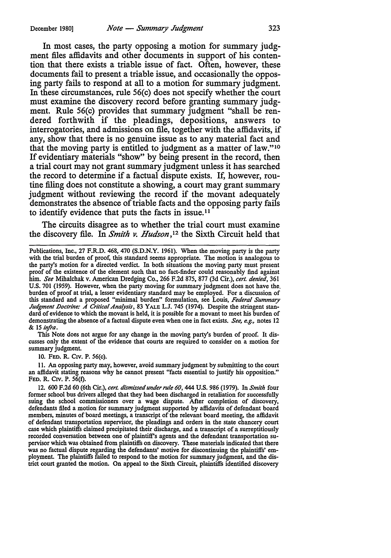In most cases, the party opposing a motion for summary judgment files affidavits and other documents in support of his contention that there exists a triable issue of fact. Often, however, these documents fail to present a triable issue, and occasionally the opposing party fails to respond at all to a motion for summary judgment. In these circumstances, rule 56(c) does not specify whether the court must examine the discovery record before granting summary judgment. Rule 56(c) provides that summary judgment "shall be rendered forthwith if the pleadings, depositions, answers to interrogatories, and admissions on file, together with the affidavits, if any, show that there is no genuine issue as to any material fact and that the moving party is entitled to judgment as a matter of law." <sup>10</sup> If evidentiary materials "show" by being present in the record, then a trial court may not grant summary judgment unless it has searched the record to determine if a factual dispute exists. If, however, routine filing does not constitute a showing, a court may grant summary judgment without reviewing the record if the movant adequately demonstrates the absence of triable facts and the opposing party fails to identify evidence that puts the facts in issue. <sup>11</sup>

The circuits disagree as to whether the trial court must examine the discovery file. In *Smith v. Hudson,* 12 the Sixth Circuit held that

This Note does not argue for any change in the moving party's burden of proof. It discusses only the extent of the evidence that courts are required to consider on a motion for summary judgment.

10. FED. R. C1v. P. 56(c).

11. An opposing party may, however, avoid summary judgment by submitting to the court an affidavit stating reasons why he cannot present "facts essential to justify his opposition." FED. R. CIV. P. 56(f).

Publications, Inc., 27 F.R.D. 468, 470 **(S.D.N.Y.** 1961). When the moving party is the party with the trial burden of proof, this standard seems appropriate. The motion is analogous to the party's motion for a directed verdict. In both situations the moving party must present proof of the existence of the element such that no fact-finder could reasonably find against him. *See* Mihalchak v. American Dredging Co., 266 F.2d 875, 877 (3d Cir.), *cert. denied,* 361 U.S. 701 (1959). However, when the party moving for summary judgment does not have the. burden of proof at trial, a lesser evidentiary standard may be employed. For a discussion of this standard and a proposed "minimal burden" formulation, see Louis, *Federal Summary*  Judgment Doctrine: A Critical Analysis, 83 YALE L.J. 745 (1974). Despite the stringent standard of evidence to which the movant is held, it is possible for a movant to meet his burden of demonstrating the absence of a factual dispute even when one in fact exists. *See, e.g.,* notes 12 & 15 *infra.* 

<sup>12. 600</sup> F.2d 60 (6th Cir.), *cert. dismissed under rule 60,* 444 U.S. 986 (1979). In *Smith* four former school bus drivers alleged that they had been discharged in retaliation for successfully suing the school commissioners over a wage dispute. After completion of discovery, defendants filed a motion for summary judgment supported by affidavits of defendant board members, minutes of board meetings, a transcript of the relevant board meeting, the affidavit of defendant transportation supervisor, the pleadings and orders in the state chancery court case which plaintiffs claimed precipitated their discharge, and a transcript of a surreptitiously recorded conversation between one of plaintiff's agents and the defendant transportation supervisor which was obtained from plaintiffs on discovery. These materials indicated that there was no factual dispute regarding the defendants' motive for discontinuing the plaintiffs' employment. The plaintiffs failed to respond to the motion for summary judgment, and the district court granted the motion. On appeal to the Sixth Circuit, plaintiffs identified discovery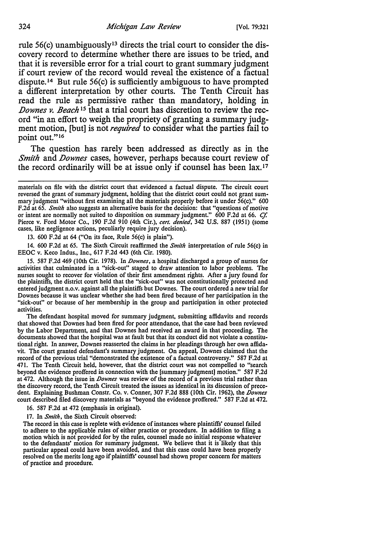rule 56(c) unambiguously13 directs the trial court to consider the discovery record to determine whether there are issues to be tried, and that it is reversible error for a trial court to grant summary judgment if court review of the record would reveal the existence of a factual dispute. 14 But rule 56(c) is sufficiently ambiguous to have prompted a different interpretation by other courts. The Tenth Circuit has read the rule as permissive rather than mandatory, holding in *.Downes v. Beach* 15 that a trial court has discretion to review the record "in an effort to weigh the propriety of granting a summary judgment motion, [but] is not *required* to consider what the parties fail to point out."<sup>16</sup>

The question has rarely been addressed as directly as in the *Smith* and *Downes* cases, however, perhaps because court review of the record ordinarily will be at issue only if counsel has been lax.17

13. 600 F.2d at 64 ("On its face, Rule 56(c) is plain").

14. 600 F.2d at 65. The Sixth Circuit reaffirmed the *Smith* interpretation of rule 56(c) in EEOC v. Keco Indus., Inc., 617 F.2d 443 (6th Cir. 1980).

15. 587 F.2d 469 (10th Cir. 1978). In *Downes,* a hospital discharged a group of nurses for activities that culminated in a "sick-out" staged to draw attention to labor problems. The nurses sought to recover for violation of their first amendment rights. After a jury found for the plaintiffs, the district court held that the "sick-out" was not constitutionally protected and entered judgment n.o.v. against all the plaintiffs but Downes. The court ordered a new trial for Downes because it was unclear whether she had been fired because of her participation in the "sick-out" or because of her membership in the group and participation in other protected activities.

The defendant hospital moved for summary judgment, submitting affidavits and records that showed that Downes had been fired for poor attendance, that the case had been reviewed by the Labor Department, and that Downes had received an award in that proceeding. The documents showed that the hospital was at fault but that its conduct did not violate a constitu• tional right. In answer, Downes reasserted the claims in her pleadings through her own affidavit. The court granted defendant's summary judgment. On appeal, Downes claimed that the record of the previous trial "demonstrated the existence of a factual controversy." 587 F.2d at 471. The Tenth Circuit held, however, that the district court was not compelled to "search beyond the evidence proffered in connection with the (summary judgment] motion." 587 F.2d at 472. Although the issue in *Downes* was review of the record of a previous trial rather than the discovery record, the Tenth Circuit treated the issues as identical in its discussion of prece• dent. Explaining Bushman Constr. Co. v. Conner, 307 F.2d 888 (10th Cir. 1962), the *Downes*  court described filed discovery materials as "beyond the evidence proffered." 587 F.2d at 472.

16. 587 F.2d at 472 (emphasis in original).

17. In *Smith,* the Sixth Circuit observed:

The record in this case is replete with evidence of instances where plaintiffs' counsel failed to adhere to the applicable rules of either practice or procedure. In addition to filing a motion which is not provided for by the rules, counsel made no initial response whatever to the defendants' motion for summary judgment. We believe that it is likely that this particular appeal could have been avoided, and that this case could have been properly resolved on the merits long ago if plaintiffs' counsel had shown proper concern for matters of practice and procedure.

materials on file with the district court that evidenced a factual dispute. The circuit court reversed the grant of summary judgment, holding that the district court could not grant summary judgment "without first examining all the materials properly before it under 56(c)." 600 F.2d at 65. *Smith* also suggests an alternative basis for the decision: that "questions of motive or intent are normally not suited to disposition on summary judgment." 600 F.2d at 66. *Cf.*  Pierce v. Ford Motor Co., 190 F.2d 910 (4th Cir.), *cert. denied,* 342 U.S. 887 (1951) (some cases, like negligence actions, peculiarly require jury decision).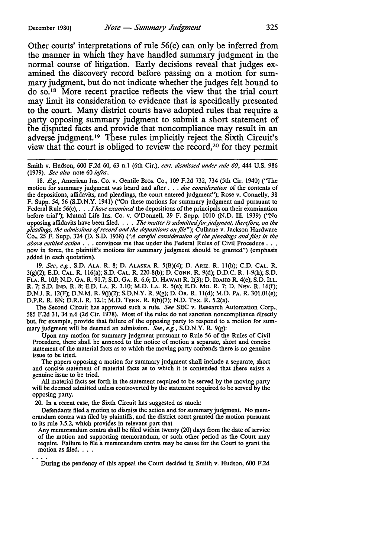Other courts' interpretations of rule 56(c) can only be inferred from the manner in which they have handled summary judgment in the normal course of litigation. Early decisions reveal that judges examined the discovery record before passing on a motion for summary judgment, but do not indicate whether the judges felt bound to do so. 18 More recent practice reflects the view that the trial court may limit its consideration to evidence that is specifically presented to the court. Many district courts have adopted rules that require a party opposing summary judgment to submit a short statement of the disputed facts and provide that noncompliance may result in an adverse judgment. 19 These rules implicitly reject the, Sixth Circuit's view that the court is obliged to review the record,20 for they permit

Smith v. Hudson, 600 F.2d 60, 63 n.l (6th Cir.), *cert. dismissed under rule 60,* 444 U.S. 986 (1979). *See also* note 60 *infra.* 

18. *E.g.,* American Ins. Co. v. Gentile Bros. Co., 109 F.2d 732, 734 (5th Cir. 1940) ("The motion for summary judgment was heard and after . . . *due consideration* of the contents of the depositions, affidavits, and pleadings, the court entered judgment"); Rose v. Connelly, 38 F. Supp. 54, 56 **(S.D.N.Y.** 1941) ("On these motions for summary judgment and pursuant to Federal Rule 56(c), ... *I have examined* the depositions of the principals on their examination before trial"); Mutual Life Ins. Co. v. O'Donnell, 29 F. Supp. 1010 (N.D. Ill. 1939) ("No opposing affidavits have been filed. . . . *The mailer is submilled for judgment, therefore, on the pleadings, the admissions* of *record and the depositions on file");* Culhane v. Jackson Hardware Co., 25 F. Supp. 324 (D. S.D. 1938) *("A careful consideration* of *the pleadings and files in the above entitled action* . . . convinces me that under the Federal Rules of Civil Procedure . . . now in force, the plaintiff's motions for summary judgment should be granted") (emphasis added in each quotation).

19. *See, e.g.,* S.D. ALA. R. 8; D. ALASKA R. 5(B)(4); D. ARIZ. R. l l(h); C.D. CAL. R. 3(g)(2); E.D. CAL. R. 116(a); S.D. CAL. R. 220-S(b); D. CONN. R. 9(d); D.D.C. R. l-9(h); S.D. FLA. R. lOJ; N.D. GA. R. 91.7; S.D. GA. R. 6.6; D. HAWAII R. 2(3); D. IDAHO R. 4(e); S.D. ILL. R. 7; S.D. IND. R. 8; E.D. LA. R. 3.10; M.D. LA. R. 5(e); E.D. Mo. R. 7; D. NEV. R. 16(f); D.N.J. R. 12(F); D.N.M. R. 9G)(2); S.D.N.Y. R. 9(g); D. OR. R. l l(d); M.D. PA. R. 301.0l(e); D.P.R. R. 8N; D.R.!. R. 12.1; M.D. TENN. R. 8(b)(7); N.D. TEX. R. 5.2(a).

The Second Circuit has approved such a rule. *See* SEC v. Research Automation Corp., 585 F.2d 31, 34 n.6 (2d Cir. 1978). Most of the rules do not sanction noncompliance directly but, for example, provide that failure of the opposing party to respond to a motion for summary judgment will be deemed an admission. *See, e.g.,* S.D.N.Y. R. 9(g):

Upon any motion for summary judgment pursuant to Rule 56 of the Rules of Civil Procedure, there shall be annexed to the notice of motion a separate, short and concise statement of the material facts as to which the moving party contends there is no genuine issue to be tried.

The papers opposing a motion for summary judgment shall include a separate, short and concise statement of material facts as to which it is contended that there exists a genuine issue to be tried.

All material facts set forth in the statement required to be served by the moving party will be deemed admitted unless controverted by the statement required to be served by the opposing party.

20. In a recent case, the Sixth Circuit has suggested as much:

Defendants filed a motion to dismiss the action and for summary judgment. No memorandum contra was filed by plaintiffs, and the district court granted the motion pursuant to its rule 3.5.2, which provides in relevant part that

Any memorandum contra shall be filed within twenty (20) days from the date of service of the motion and supporting memorandum, or such other period as the Court may require. Failure to file a memorandum contra may be cause for the Court to grant the motion as filed. . . .

During the pendency of this appeal the Court decided in Smith v. Hudson, 600 F.2d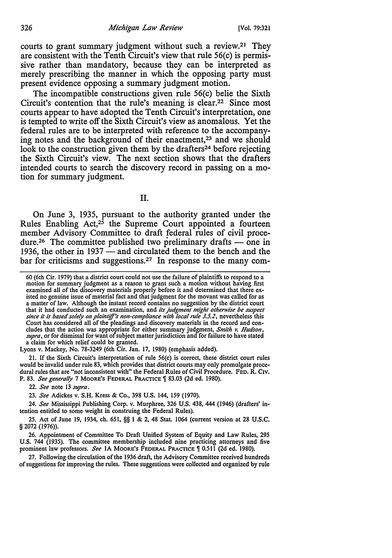courts to grant summary judgment without such a review.21 They are consistent with the Tenth Circuit's view that rule 56(c) is permissive rather than mandatory, because they can be interpreted as merely prescribing the manner in which the opposing party must present evidence opposing a summary judgment motion.

The incompatible constructions given rule 56(c) belie the Sixth Circuit's contention that the rule's meaning is clear.22 Since most courts appear to have adopted the Tenth Circuit's interpretation, one is tempted to write off the Sixth Circuit's view as anomalous. Yet the federal rules are to be interpreted with reference to the accompanying notes and the background of their enactment,<sup>23</sup> and we should look to the construction given them by the drafters<sup>24</sup> before rejecting the Sixth Circuit's view. The next section shows that the drafters intended courts to search the discovery record in passing on a motion for summary judgment.

II.

On June 3, 1935, pursuant to the authority granted under the Rules Enabling Act, $2^5$  the Supreme Court appointed a fourteen member Advisory Committee to draft federal rules of civil procedure.<sup>26</sup> The committee published two preliminary drafts  $-$  one in 1936, the other in  $1937$  — and circulated them to the bench and the bar for criticisms and suggestions.27 In response to the many com-

Lyons v. Mackey, No. 78-3249 (6th Cir. Jan. 17, 1980) (emphasis added).

21. If the Sixth Circuit's interpretation of rule 56(c) is correct, these district court rules would be invalid under rule 83, which provides that district courts may only promulgate procedural rules that are "not inconsistent with" the Federal Rules of Civil Procedure. FED. R. Civ. P. 83. See generally 7 MOORE's FEDERAL PRACTICE | 83.03 (2d ed. 1980).

22. *See* note 13 *supra.* 

23. *See* Adickes v. S.H. Kress & Co., 398 U.S. 144, 159 (1970).

24. *See* Mississippi Publishing Corp. v. Murphree, 326 U.S. 438, 444 (1946) (drafters' intention entitled to some weight in construing the Federal Rules).

25. Act of June 19, 1934, ch. 651, §§ I & 2, 48 Stat. 1064 (current version at 28 U.S.C. § 2072 (1976)).

26. Appointment of Committee To Draft Unified System of Equity and Law Rules, 295 U.S. 744 (1935). The committee membership included nine practicing attorneys and five prominent law professors. See 1A MOORE'S FEDERAL PRACTICE 1 0.511 (2d ed. 1980).

27. Following the circulation of the 1936 draft, the Advisory Committee received hundreds of suggestions for improving the rules. These suggestions were collected and organized by rule

<sup>60 (6</sup>th Cir. 1979) that a district court could not use the failure of plaintiffs to respond to a motion for summary judgment as a reason to grant such a motion without having first examined all of the discovery materials properly before it and determined that there existed no genuine issue of material fact and that judgment for the movant was called for as a matter of law. Although the instant record contains no suggestion by the district court that it had conducted such an examination, and *its judgment might otherwise be suspect since it* is *based solely on plaint!lf's non-compliance with local rule 3.5.2,* nevertheless this Court has considered all of the pleadings and discovery materials in the record and concludes that the action was appropriate for either summary judgment, *Smith v. Hudson, supra*, or for dismissal for want of subject matter jurisdiction and for failure to have stated a claim for which relief could be granted.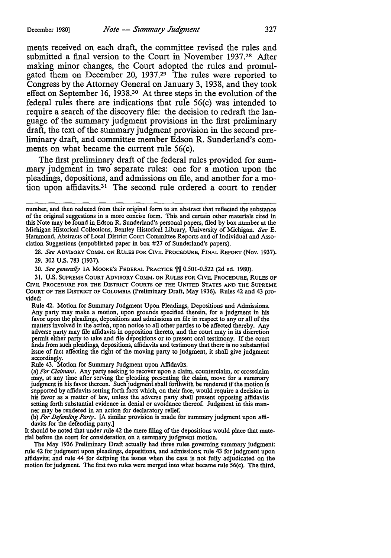ments received on each draft, the committee revised the rules and submitted a final version to the Court in November 1937.28 After making minor changes, the Court adopted the rules and promulgated them on December 20, 1937.<sup>29</sup> The rules were reported to Congress by the Attorney General on January 3, 1938, and they took effect on September 16, 1938.30 At three steps in the evolution of the federal rules there are indications that rule 56(c) was intended to require a search of the discovery file: the decision to redraft the language of the summary judgment provisions in the first preliminary draft, the text of the summary judgment provision in the second preliminary draft, and committee member Edson R. Sunderland's comments on what became the current rule 56(c).

The first preliminary draft of the federal rules provided for summary judgment in two separate rules: one for a motion upon the pleadings, depositions, and admissions on file, and another for a motion upon affidavits.31 The second rule ordered a court to render

28. *See* ADVISORY COMM. ON RULES FOR CIVIL PROCEDURE, FINAL REPORT (Nov. 1937).

29. 302 U.S. 783 (1937).

30. *See generally* 1A MOORE's FEDERAL PRACTICE  $\llbracket\llbracket$  0.501-0.522 (2d ed. 1980).

31. U.S. SUPREME COURT ADVISORY COMM. ON RULES FOR CIVIL PROCEDURE, RULES OF CIVIL PROCEDURE FOR THE DISTRICT COURTS OF THE UNITED STATES AND THE SUPREME COURT OF THE DISTRICT OF COLUMBIA (Preliminary Draft, May 1936). Rules 42 and 43 provided:

Rule 42. Motion for Summary Judgment Upon Pleadings, Depositions and Admissions. Any party may make a motion, upon grounds specified therein, for a judgment in his favor upon the pleadings, depositions and admissions on file in respect to any or all of the matters involved in the action, upon notice to all other parties to be affected thereby. Any adverse party may file affidavits in opposition thereto, and the court may in its discretion<br>permit either party to take and file depositions or to present oral testimony. If the court<br>finds from such pleadings, deposition issue of fact affecting the right of the moving party to judgment, it shall give judgment accordingly.

Rule 43. Motion for Summary Judgment upon Affidavits.

(a) *For Claimant.* Any party seeking to recover upon a claim, counterclaim, or crossclaim may, at any time after serving the pleading presenting the claim, move for a summary judgment in his favor thereon. Such judgment shall forthwith be rendered if the motion 1s supported by affidavits setting forth facts which, on their face, would require a decision in his favor as a matter of law, unless the adverse party shall present opposing affidavits setting forth substantial evidence in denial or avoidance thereof. Judgment in this manner may be rendered in an action for declaratory relief.

(b) For Defending Party. [A similar provision is made for summary judgment upon affidavits for the defending party.]

It should be noted that under rule 42 the mere filing of the depositions would place that material before the court for consideration on a summary judgment motion.

The May 1936 Preliminary Draft actually had three rules governing summary judgment: rule 42 for judgment upon pleadings, depositions, and admissions; rule 43 for judgment upon affidavits; and rule 44 for defining the issues when the case is not fully adjudicated on the motion for judgment. The first two rules were merged into what became rule 56(c). The third,

number, and then reduced from their original form to an abstract that reflected the substance of the original suggestions in a more concise form. This and certain other materials cited in this Note may be found in\_Edson R. Sunderland's personal papers, filed by box number at the Michigan Historical Collections, Bentley Historical Library, University of Michigan. *See* E. Hammond, Abstracts of Local District Court Committee Reports and of Individual and Association Suggestions (unpublished paper in box #27 of Sunderland's papers).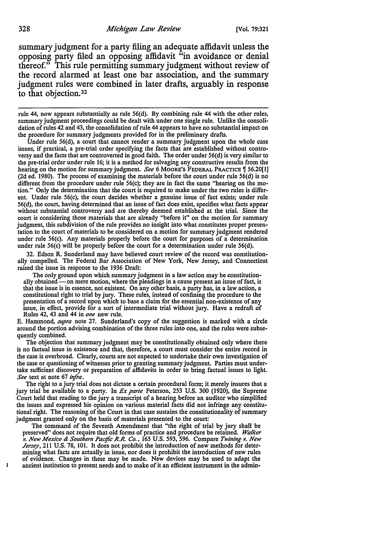summary judgment for a party filing an adequate affidavit unless the opposing party filed an opposing affidavit "in avoidance or denial thereof." This rule permitting summary judgment without review of the record alarmed at least one bar association, and the summary judgment rules were combined in later drafts, arguably in response to that objection.3<sup>2</sup>

Under rule 56(d), a court that cannot render a summary judgment upon the whole case issues, if practical, a pre-trial order specifying the facts that are established without controversy and the facts that are controverted in good faith. The order under 56(d) is very similar to the pre-trial order under rule 16; it is a method for salvaging any constructive results from the hearing on the motion for summary judgment. *See* 6 MOORE'S FEDERAL PRACTICE [ 56.20[1] (2d ed. 1980). The process of examining the materials before the court under rule 56(d) is no different from the procedure under rule 56(c); they are in fact the same "hearing on the motion." Only the determination that the court is required to make under the two rules is different. Under rule 56(c), the court decides whether a genuine issue of fact exists; under rule 56(d), the court, having determined that an issue of fact does exist, specifies what facts appear without substantial controversy and are thereby deemed established at the trial. Since the court is considering those materials that are already "before it" on the motion for summary judgment, this subdivision of the rule provides no insight into what constitutes proper presentation to the court of materials to be considered on a motion for summary judgment rendered under rule 56(c). Any materials properly before the court for purposes of a determination under rule 56(c) will be properly before the court for a determination under rule 56(d).

32. Edson R. Sunderland may have believed court review of the record was constitutionally compelled. The Federal Bar Association of New York, New Jersey, and Connecticut raised the issue in response to the 1936 Draft:

The only ground upon which summary judgment in a law action may be constitutionally obtained - on mere motion, where the pleadings in a cause present an issue of fact, is that the issue is in essence, not existent. On any other basis, a party has, in a law action, a constitutional right to trial by jury. These rules, instead of confining the procedure to the presentation of a record upon which to base a claim for the essential non-existence of any issue, in effect, provide for a sort of intermediate trial without jury. Have a redraft of Rules 42, 43 and 44 in *one* new rule.

E. Hammond, *supra* note 27. Sunderland's copy of the suggestion is marked with a circle around the portion advising combination of the three rules into one, and the rules were subsequently combined.

The objection that summary judgment may be constitutionally obtained only where there is no factual issue in existence and that, therefore, a court must consider the entire record in the case is overbroad. Clearly, courts are not expected to undertake their own investigation of the case or questioning of witnesses prior to granting summary judgment. Parties must undertake sufficient discovery or preparation of affidavits in order to bring factual issues to light. *See* text at note 67 *infra*.

The right to a jury trial does not dictate a certain procedural form; it merely insures that a jury trial be available to a party. In *Ex parte* Peterson, 253 U.S. 300 (1920), the Supreme Court held that reading to the jury a transcript of a hearing before an auditor who simplified the issues and expressed his opinion on various material facts did not infringe any constitutional right. The reasoning of the Court in that case sustains the constitutionality of summary judgment granted only on the basis of materials presented to the court:

The command of the Seventh Amendment that "the right of trial by jury shall be preserved" does not require that old forms of practice and procedure be retained. *Walker v. New Mexico & Southern Pactftc R.R. Co.,* 165 U.S. 593, 596. Compare *Twining v. New Jersey,* 211 U.S. 78, IOI. It does not prohibit the introduction of new methods for determining what facts are actually in issue, nor does it prohibit the introduction of new rules of evidence. Changes in these may be made. New devices may be used to adapt the ancient institution to present needs and to make of it an efficient instrument in the admin-

rule 44, now appears substantially as rule 56(d). By combining rule 44 with the other rules, summary judgment proceedings could be dealt with under one single rule. Unlike the consolidation of rules 42 and 43, the consolidation of rule 44 appears to have no substantial impact on the procedure for summary judgments provided for in the preliminary drafts.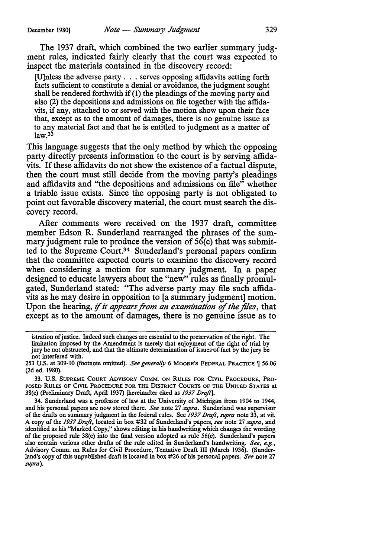The 1937 draft, which combined the two earlier summary judgment rules, indicated fairly clearly that the court was expected to inspect the materials contained in the discovery record:

[U]nless the adverse party ... serves opposing affidavits setting forth facts sufficient to constitute a denial or avoidance, the judgment sought shall be rendered forthwith if (I) the pleadings of the moving party and also (2) the depositions and admissions on file together with the affidavits, if any, attached to or served with the motion show upon their face that, except as to the amount of damages, there is no genuine issue as to any material fact and that he is entitled to judgment as a matter of  $law.<sup>33</sup>$ 

This language suggests that the only method by which the opposing party directly presents information to the court is by serving affidavits. If these affidavits do not show the existence of a factual dispute, then the court must still decide from the moving party's pleadings and affidavits and "the depositions and admissions on file" whether a triable issue exists. Since the opposing party is not obligated to point out favorable discovery material, the court must search the discovery record.

After comments were received on the 1937 draft, committee member Edson R. Sunderland rearranged the phrases of the summary judgment rule to produce the version of 56(c) that was submitted to the Supreme Court.34 Sunderland's personal papers confirm that the committee expected courts to examine the discovery record when considering a motion for summary judgment. In a paper designed to educate lawyers about the "new" rules as finally promulgated, Sunderland stated: "The adverse party may file such affidavits as he may desire in opposition to [a summary judgment] motion. Upon the hearing, *if it appears from an examination of the files*, that except as to the amount of damages, there is no genuine issue as to

istration of justice. Indeed such changes are essential to the preservation of the right. The limitation imposed by the Amendment is merely that enjoyment of the right of trial by jury be not obstructed, and that the ultimate determination of issues of fact by the jury be not interfered with.

<sup>253</sup> U.S. at 309-10 (footnote omitted). *See generally* 6 MOORE'S FEDERAL PRACTICE 1 56.06 (2d ed. 1980).

<sup>33.</sup> U.S. SUPREME COURT ADVISORY COMM. ON RULES FOR CIVIL PROCEDURE, PRO· POSED RULES OF CIVIL PROCEDURE FOR THE DISTRICT COURTS OF THE UNITED STATES at 38(c) (Preliminary Draft, April 1937) [hereinafter cited as 1937 Draft].

<sup>34.</sup> Sunderland was a professor of law at the University of Michigan from 1904 to 1944, and his personal papers are now stored there. *See* note 27 *supra.* Sunderland was supervisor of the drafts on summary judgment in the federal rules. See *1937 Draft, supra* note 33, at vii. A copy of the 1937 Draft, located in box #32 of Sunderland's papers, see note 27 supra, and identified as his "Marked Copy," shows editing in his handwriting which changes the wording of the proposed rule 38(c) into the final version adopted as rule 56(c). Sunderland's papers also contain various other drafts of the rule edited in Sunderland's handwriting. *See, e.g.,*  Advisory Comm. on Rules for Civil Procedure, Tentative Draft III (March 1936). (Sunderland's copy of this unpublished draft is located in box #26 of his personal papers. *See* note 27 *supra).*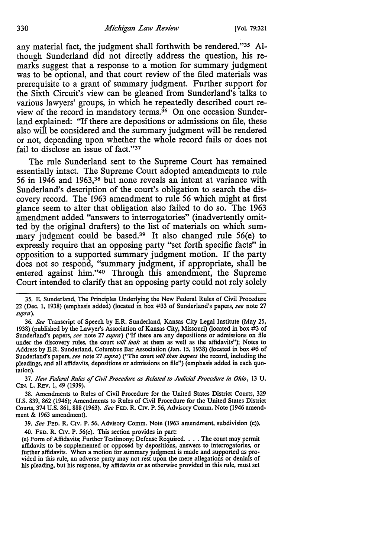any material fact, the judgment shall forthwith be rendered."35 Although Sunderland did not directly address the question, his remarks suggest that a response to a motion for summary judgment was to be optional, and that court review of the filed materials was prerequisite to a grant of summary judgment. Further support for the Sixth Circuit's view can be gleaned from Sunderland's talks to various lawyers' groups, in which he repeatedly described court review of the record in mandatory terms.<sup>36</sup> On one occasion Sunderland explained: "If there are depositions or admissions on file, these also will be considered and the summary judgment will be rendered or not, depending upon whether the whole record fails or does not fail to disclose an issue of fact."<sup>37</sup>

The rule Sunderland sent to the Supreme Court has remained essentially intact. The Supreme Court adopted amendments to rule 56 in 1946 and 1963,38 but none reveals an intent at variance with Sunderland's description of the court's obligation to search the discovery record. The 1963 amendment to rule 56 which might at first glance seem to alter that obligation also failed to do so. The 1963 amendment added "answers to interrogatories" (inadvertently omitted by the original drafters) to the list of materials on which summary judgment could be based.<sup>39</sup> It also changed rule 56(e) to expressly require that an opposing party "set forth specific facts" in opposition to a supported summary judgment motion. If the party does not so respond, "summary judgment, if appropriate, shall be entered against him."40 Through this amendment, the Supreme Court intended to clarify that an opposing party could not rely solely

36. *See* Transcript of Speech by E.R. Sunderland, Kansas City Legal Institute (May 25, 1938) (published by the Lawyer's Association of Kansas City, Missouri) (located in box #3 of Sunderland's papers, *see* note 27 *supra)* ("If there are any depositions or admissions on file under the discovery rules, the court *will look* at them as well as the affidavits"); Notes to Address by E.R. Sunderland, Columbus Bar Association (Jan. 15, 1938) (located in box #5 of Sunderland's papers, *see* note 27 *supra)* (''The court *will then inspect* the record, including the pleadings, and all affidavits, depositions or admissions on file") (emphasis added in each quotation).

*31. New Federal Rules of Civil Procedure as Related lo Judicial Procedure in Ohio,* 13 U. CIN. L. REV. 1, 49 (1939).

38. Amendments to Rules of Civil Procedure for the United States District Courts, 329 U.S. 839, 862 (1946); Amendments to Rules of Civil Procedure for the United States District Courts, 374 U.S. 861, 888 (1963). *See* FED. R. C1v. P. 56, Advisory Comm. Note (1946 amendment & 1963 amendment).

39. *See* FED. R. C1v. P. 56, Advisory Comm. Note (1963 amendment, subdivision (c)).

40. FED. R. C1v. P. 56(e). This section provides in part:

40. FED. R. CIV. P. 56(e). This section provides in part:<br>(e) Form of Affidavits; Further Testimony; Defense Required. . . . The court may permit<br>affidavits to be supplemented or opposed by depositions, answers to interrog further affidavits. When a motion for summary judgment is made and supported as provided in this rule, an adverse party may not rest upon the mere allegations or denials of his pleading, but his response, by affidavits or as otherwise provided in this rule, must set

<sup>35.</sup> E. Sunderland, The Principles Underlying the New Federal Rules of Civil Procedure 22 (Dec. I, 1938) (emphasis added) (located in box #33 of Sunderland's papers, *see* note 27 *supra).*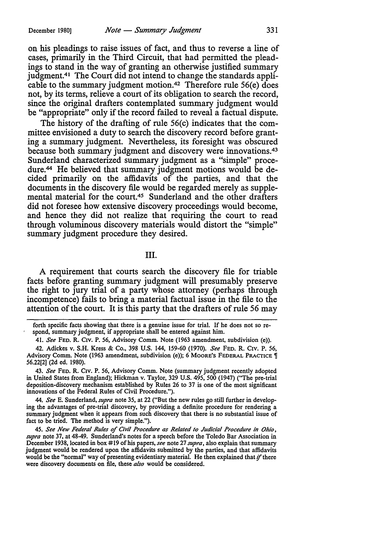on his pleadings to raise issues of fact, and thus to reverse a line of cases, primarily in the Third Circuit, that had permitted the pleadings to stand in the way of granting an otherwise justified summary judgment.41 The Court did not intend to change the standards applicable to the summary judgment motion.42 Therefore rule 56(e) does not, by its terms, relieve a court of its obligation to search the record, since the original drafters contemplated summary judgment would be "appropriate" only if the record failed to reveal a factual dispute.

The history of the drafting of rule 56(c) indicates that the committee envisioned a duty to search the discovery record before granting a summary judgment. Nevertheless, its foresight was obscured because both summary judgment and discovery were innovations.43 Sunderland characterized summary judgment as a "simple" procedure.<sup>44</sup> He believed that summary judgment motions would be decided primarily on the affidavits of the parties, and that the documents in the discovery file would be regarded merely as supplemental material for the court.45 Sunderland and the other drafters did not foresee how extensive discovery proceedings would become, and hence they did not realize that requiring the court to read through voluminous discovery materials would distort the "simple" summary judgment procedure they desired.

III.

A requirement that courts search the discovery file for triable facts before granting summary judgment will presumably preserve the right to jury trial of a party whose attorney (perhaps through incompetence) fails to bring a material factual issue in the file to the attention of the court. It is this party that the drafters of rule 56 may

43. *See* FED. R. C1v. P. 56, Advisory Comm. Note (summary judgment recently adopted in United States from England); Hickman v. Taylor, 329 U.S. 495, 500 (1947) (''The pre-trial deposition-discovery mechanism established by Rules 26 to 37 is one of the most significant innovations of the Federal Rules of Civil Procedure.").

44. *See* E. Sunderland, *supra* note 35, at 22 ("But the new rules go still further in developing the advantages of pre-trial discovery, by providing a definite procedure for rendering a summary judgment when it appears from such discovery that there is no substantial issue of fact to be tried. The method is very simple.").

45. *See New Federal Rules of Civil Procedure as Related lo Judicial Procedure in Ohio, supra* note 37, at 48-49. Sunderland's notes for a speech before the Toledo Bar Association in December 1938, located in box #19 of his papers, see note 27 *supra*, also explain that summary judgment would be rendered upon the affidavits submitted by the parties, and that affidavits would be the "normal" way of presenting evidentiary material. He then explained that ff there were discovery documents on file, these *also* would be considered.

forth specific facts showing that there is a genuine issue for trial. If he does not so re- ' spond, summary judgment, if appropriate shall be entered against him.

<sup>41.</sup> *See* FED. R. C1v. P. 56, Advisory Comm. Note (1963 amendment, subdivision (e)).

<sup>42.</sup> Adickes v. S.H. Kress & Co., 398 U.S. 144, 159-60 (1970). *See* FED. R. C1v. P. 56, Advisory Comm. Note (1963 amendment, subdivision (e)); 6 MOORE'S FEDERAL PRACTICE 1 56.22(2] (2d ed. 1980).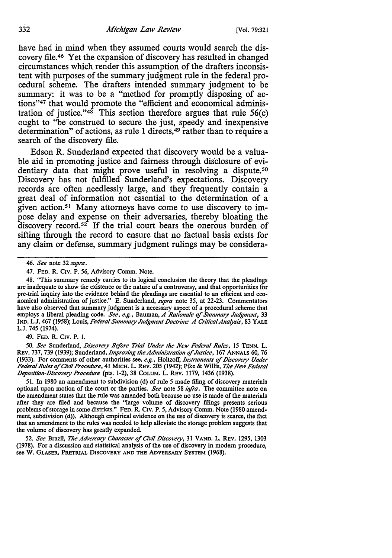have had in mind when they assumed courts would search the discovery file.46 Yet the expansion of discovery has resulted in changed circumstances which render this assumption of the drafters inconsistent with purposes of the summary judgment rule in the federal procedural scheme. The drafters intended summary judgment to be summary: it was to be a "method for promptly disposing of actions"47 that would promote the "efficient and economical administration of justice." $48$  This section therefore argues that rule 56(c) ought to "be construed to secure the just, speedy and inexpensive determination" of actions, as rule 1 directs,<sup>49</sup> rather than to require a search of the discovery file.

Edson R. Sunderland expected that discovery would be a valuable aid in promoting justice and fairness through disdosure of evidentiary data that might prove useful in resolving a dispute.<sup>50</sup> Discovery has not fulfilled Sunderland's expectations. Discovery records are often needlessly large, and they frequently contain a great deal of information not essential to the determination of a given action.51 Many attorneys have come to use discovery to impose delay and expense on their adversaries, thereby bloating the discovery record.<sup>52</sup> If the trial court bears the onerous burden of sifting through the record to ensure that no factual basis exists for any claim or defense, summary judgment rulings may be considera-

49. FED. R. CIV. P. 1.

50. See Sunderland, Discovery Before Trial Under the New Federal Rules, 15 TENN. L. Rev. 737, 739 (1939); Sunderland, *Improving the Administration* of *Justice,* 167 ANNALS 60, 76 (1933). For comments of other authorities see, *e.g.,* Holtzoff, *Instruments* of *J)iscovery Under Federal Rules* of *Civil Procedure,* 41 MICH. L. REV. 205 (1942); Pike & Willis, *The New Federal J)eposition-l}iscovery Procedure* (pts. 1-2), 38 COLUM. L. REV. 1179, 1436 (1938).

51. In 1980 an amendment to subdivision (d) of rule *5* made filing of discovery materials optional upon motion of the court or the parties. *See* note 58 *infra*. The committee note on the amendment states that the rule was amended both because no use is made of the materials after they are filed and because the "large volume of discovery filings presents serious problems of storage in some districts." FED. R. C1v. P. *5,* Advisory Comm. Note (1980 amendment, subdivision (d)). Although empirical evidence on the use of discovery is scarce, the fact that an amendment to the rules was needed to help alleviate the storage problem suggests that the volume of discovery has greatly expanded.

52. *See* Brazil, *The Adversary Character* of *Civil J)iscovery,* 31 VAND, L. REV. 1295, 1303 (1978). For a discussion and statistical analysis of the use of discovery in modern procedure, see W. GLASER, PRETRIAL DISCOVERY AND THE ADVERSARY SYSTEM (1968).

<sup>46.</sup> *See* note 32 *supra.* 

<sup>47.</sup> FED. R. C1v. P. 56, Advisory Comm. Note.

<sup>48. &</sup>quot;This summary remedy carries to its logical conclusion the theory that the pleadings are inadequate to show the existence or the nature of a controversy, and that opportunities for pre-trial inquiry into the evidence behind the pleadings are essential to an efficient and economical administration of justice." E. Sunderland, *supra* note 35, at 22-23. Commentators have also observed that summary judgment is a necessary aspect of a procedural scheme that employs a liberal pleading code. *See, e.g.,* Bauman, *A Rationale* of *Summary Judgment,* 33 IND. L.J. 467 ( 1958); Louis, *Federal Summary Judgment J)octrine: A Critical Analysis,* 83 YALE L.J. 745 (1974).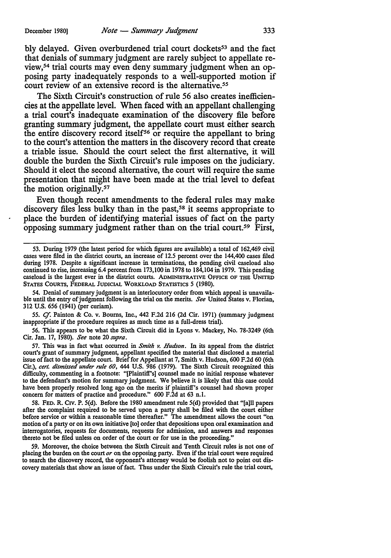bly delayed. Given overburdened trial court dockets<sup>53</sup> and the fact that denials of summary judgment are rarely subject to appellate review,54 trial courts may even deny summary judgment when an opposing party inadequately responds to a well-supported motion if court review of an extensive record is the alternative.<sup>55</sup>

The Sixth Circuit's construction of rule 56 also creates inefficiencies at the appellate level. When faced with an appellant challenging a trial court's inadequate examination of the discovery file before granting summary judgment, the appellate court must either search the entire discovery record itself<sup>56</sup> or require the appellant to bring to the court's attention the matters in the discovery record that create a triable issue. Should the court select the first alternative, it will double the burden the Sixth Circuit's rule imposes on the judiciary. Should it elect the second alternative, the court will require the same presentation that might have been made at the trial level to defeat the motion originally.<sup>57</sup>

Even though recent amendments to the federal rules may make discovery files less bulky than in the past,<sup>58</sup> it seems appropriate to place the burden of identifying material issues of fact on the party opposing summary judgment rather than on the trial court.59 First,

54. Denial of summary judgment is an interlocutory order from which appeal is unavailable until the entry of judgment following the trial on the merits. *See* United States v. Florian, 312 U.S. 656 (1941) (per curiam).

55. *Cf.* Painton & Co. v. Bourns, Inc., 442 F.2d 216 (2d Cir. 1971) (summary judgment inappropriate if the procedure requires as much time as a full-dress trial).

56. This appears to be what the Sixth Circuit did in Lyons v. Mackey, No. 78-3249 (6th Cir. Jan. 17, 1980). *See* note 20 *supra.* 

57. This was in fact what occurred in *Smith v. Hudson.* In its appeal from the district court's grant of summary judgment, appellant specified the material that disclosed a material issue of fact to the appellate court. Brief for Appellant at 7, Smith v. Hudson, 600 F.2d 60 (6th Cir.), *cert. dismissed under rule* 60, 444 U.S. 986 (1979). The Sixth Circuit recognized this difficulty, commenting in a footnote: "[Plaintiff's] counsel made no initial response whatever to the defendant's motion for summary judgment. We believe it is likely that this case could have been properly resolved long ago on the merits if plaintiff's counsel had shown proper concern for matters of practice and procedure." 600 F.2d at 63 n.l.

58. FED. R. CIV. P. 5(d). Before the 1980 amendment rule 5(d) provided that "[a]ll papers after the complaint required to be served upon a party shall be filed with the court either before service or within a reasonable time thereafter." The amendment allows the court "on motion of a party or on its own initiative [to] order that depositions upon oral examination and interrogatories, requests for documents, requests for admission, and answers and responses thereto not be filed unless on order of the court or for use in the proceeding."

*59.* Moreover, the choice between the Sixth Circuit and Tenth Circuit rules is not one of placing the burden on the court *or* on the opposing party. Even if the trial court were required to search the discovery record, the opponent's attorney would be foolish not to point out discovery materials that show an issue of fact. Thus under the Sixth Circuit's rule the trial court,

<sup>53.</sup> During 1979 (the latest period for which figures are available) a total of 162,469 civil cases were filed in the district courts, an increase of 12.5 percent over the 144,400 cases filed during 1978. Despite a significant increase in terminations, the pending civil caseload also continued to rise, increasing 6.4 percent from 173,100 in 1978 to 184,104 in 1979. This pending caseload is the largest ever in the district courts. ADMINISTRATIVE OFFICE OF THE UNITED STATES COURTS, FEDERAL JUDICIAL WORKLOAD STATISTICS 5 (1980).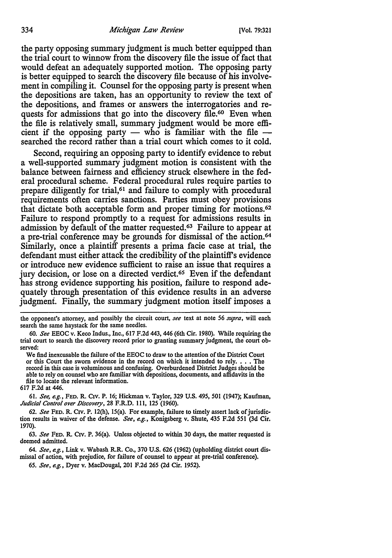the party opposing summary judgment is much better equipped than the trial court to winnow from the discovery file the issue of fact that would defeat an adequately supported motion. The opposing party is better equipped to search the discovery file because of his involvement in compiling it. Counsel for the opposing party is present when the depositions are taken, has an opportunity to review the text of the depositions, and frames or answers the interrogatories and requests for admissions that go into the discovery file.<sup>60</sup> Even when the file is relatively small, summary judgment would be more efficient if the opposing party — who is familiar with the file searched the record rather than a trial court which comes to it cold.

Second, requiring an opposing party to identify evidence to rebut a well-supported summary judgment motion is consistent with the balance between fairness and efficiency struck elsewhere in the federal procedural scheme. Federal procedural rules require parties to prepare diligently for trial,61 and failure to comply with procedural requirements often carries sanctions. Parties must obey provisions that dictate both acceptable form and proper timing for motions. <sup>62</sup> Failure to respond promptly to a request for admissions results in admission by default of the matter requested.63 Failure to appear at a pre-trial conference may be grounds for dismissal of the action.<sup>64</sup> Similarly, once a plaintiff presents a prima facie case at trial, the defendant must either attack the credibility of the plaintiff's evidence or introduce new evidence sufficient to raise an issue that requires a jury decision, or lose on a directed verdict.65 Even if the defendant has strong evidence supporting his position, failure to respond adequately through presentation of this evidence results in an adverse judgment. Finally, the summary judgment motion itself imposes a

the opponent's attorney, and possibly the circuit court, *see* text at note 56 *supra,* will each search the same haystack for the same needles.

60. *See* EEOC v. Keco Indus., Inc., 617 F.2d 443,446 (6th Cir. 1980). While requiring the trial court to search the discovery record prior to granting summary judgment, the court observed:

We find inexcusable the failure of the EEOC to draw to the attention of the District Court or this Court the sworn evidence in the record on which it intended to rely.  $\dots$  The record in this case is voluminous and confusing. Overburdened District Judges should be able to rely on counsel who are familiar with depositions, documents, and affidavits in the file to locate the relevant information.

617 F.2d at 446.

61. *See, e.g.,* FED. R. C1v. P. 16; Hickman v. Taylor, 329 U.S. 495, 501 (1947); Kaufman, Judicial Control over Discovery, 28 F.R.D. 111, 125 (1960).

62. *See* FED. R. CIV. P. 12(h), 15(a). For example, failure to timely assert lack of jurisdiction results in waiver of the defense. *See, e.g.,* Konigsberg v. Shute, 435 F.2d 551 (3d Cir. 1970).

63. *See* FED. R. C1v. P. 36(a). Unless objected to within 30 days, the matter requested is deemed admitted.

64. *See, e.g.,* Link v. Wabash R.R. Co., 370 U.S. 626 (1962) (upholding district court dismissal of action, with prejudice, for failure of counsel to appear at pre-trial conference).

65. *See, e.g.,* Dyer v. MacDougal, 201 F.2d 265 (2d Cir. 1952).